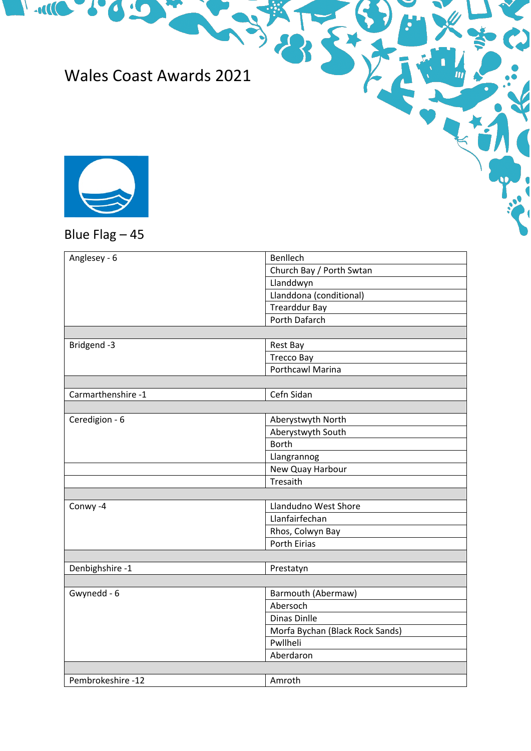## Wales Coast Awards 2021



C

**Expertise Line** 

## Blue Flag – 45

| Anglesey - 6       | Benllech                        |  |
|--------------------|---------------------------------|--|
|                    | Church Bay / Porth Swtan        |  |
|                    | Llanddwyn                       |  |
|                    | Llanddona (conditional)         |  |
|                    | <b>Trearddur Bay</b>            |  |
|                    | Porth Dafarch                   |  |
|                    |                                 |  |
| Bridgend -3        | Rest Bay                        |  |
|                    | <b>Trecco Bay</b>               |  |
|                    | <b>Porthcawl Marina</b>         |  |
|                    |                                 |  |
| Carmarthenshire -1 | Cefn Sidan                      |  |
|                    |                                 |  |
| Ceredigion - 6     | Aberystwyth North               |  |
|                    | Aberystwyth South               |  |
|                    | <b>Borth</b>                    |  |
|                    | Llangrannog                     |  |
|                    | New Quay Harbour                |  |
|                    | Tresaith                        |  |
|                    |                                 |  |
| Conwy-4            | Llandudno West Shore            |  |
|                    | Llanfairfechan                  |  |
|                    | Rhos, Colwyn Bay                |  |
|                    | <b>Porth Eirias</b>             |  |
|                    |                                 |  |
| Denbighshire -1    | Prestatyn                       |  |
|                    |                                 |  |
| Gwynedd - 6        | Barmouth (Abermaw)              |  |
|                    | Abersoch                        |  |
|                    | Dinas Dinlle                    |  |
|                    | Morfa Bychan (Black Rock Sands) |  |
|                    | Pwllheli                        |  |
|                    | Aberdaron                       |  |
|                    |                                 |  |
| Pembrokeshire -12  | Amroth                          |  |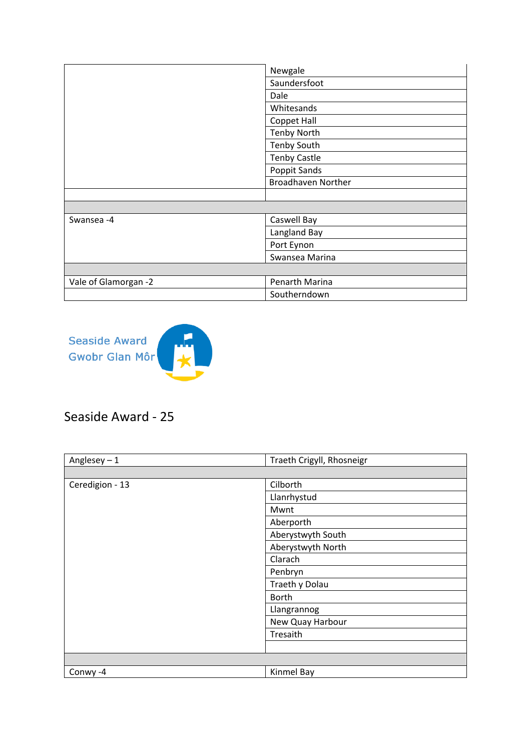|                      | Newgale                   |
|----------------------|---------------------------|
|                      | Saundersfoot              |
|                      | Dale                      |
|                      | Whitesands                |
|                      | Coppet Hall               |
|                      | <b>Tenby North</b>        |
|                      | <b>Tenby South</b>        |
|                      | <b>Tenby Castle</b>       |
|                      | Poppit Sands              |
|                      | <b>Broadhaven Norther</b> |
|                      |                           |
|                      |                           |
| Swansea -4           | Caswell Bay               |
|                      | Langland Bay              |
|                      | Port Eynon                |
|                      | Swansea Marina            |
|                      |                           |
| Vale of Glamorgan -2 | Penarth Marina            |
|                      | Southerndown              |



## Seaside Award - 25

| Anglesey $-1$   | Traeth Crigyll, Rhosneigr |
|-----------------|---------------------------|
|                 |                           |
| Ceredigion - 13 | Cilborth                  |
|                 | Llanrhystud               |
|                 | Mwnt                      |
|                 | Aberporth                 |
|                 | Aberystwyth South         |
|                 | Aberystwyth North         |
|                 | Clarach                   |
|                 | Penbryn                   |
|                 | Traeth y Dolau            |
|                 | <b>Borth</b>              |
|                 | Llangrannog               |
|                 | New Quay Harbour          |
|                 | Tresaith                  |
|                 |                           |
|                 |                           |
| Conwy-4         | Kinmel Bay                |